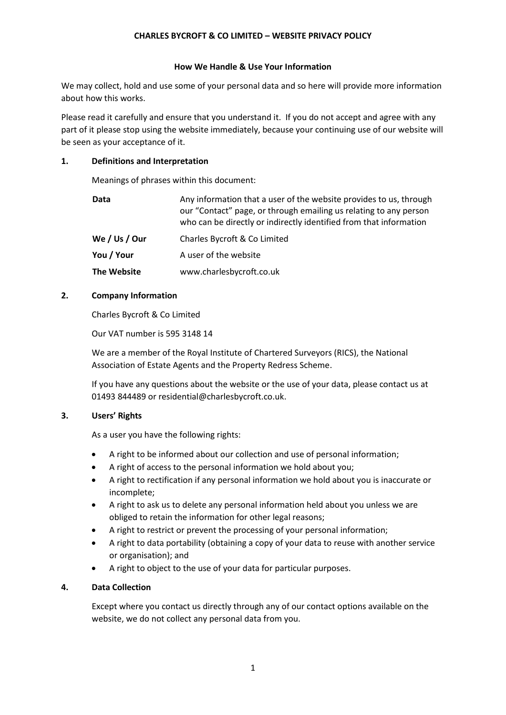## **CHARLES BYCROFT & CO LIMITED – WEBSITE PRIVACY POLICY**

### **How We Handle & Use Your Information**

We may collect, hold and use some of your personal data and so here will provide more information about how this works.

Please read it carefully and ensure that you understand it. If you do not accept and agree with any part of it please stop using the website immediately, because your continuing use of our website will be seen as your acceptance of it.

### **1. Definitions and Interpretation**

Meanings of phrases within this document:

| Data          | Any information that a user of the website provides to us, through<br>our "Contact" page, or through emailing us relating to any person<br>who can be directly or indirectly identified from that information |
|---------------|---------------------------------------------------------------------------------------------------------------------------------------------------------------------------------------------------------------|
| We / Us / Our | Charles Bycroft & Co Limited                                                                                                                                                                                  |
| You / Your    | A user of the website                                                                                                                                                                                         |
| The Website   | www.charlesbycroft.co.uk                                                                                                                                                                                      |

# **2. Company Information**

Charles Bycroft & Co Limited

Our VAT number is 595 3148 14

We are a member of the Royal Institute of Chartered Surveyors (RICS), the National Association of Estate Agents and the Property Redress Scheme.

If you have any questions about the website or the use of your data, please contact us at 01493 844489 or residential@charlesbycroft.co.uk.

# **3. Users' Rights**

As a user you have the following rights:

- A right to be informed about our collection and use of personal information;
- A right of access to the personal information we hold about you;
- A right to rectification if any personal information we hold about you is inaccurate or incomplete;
- A right to ask us to delete any personal information held about you unless we are obliged to retain the information for other legal reasons;
- A right to restrict or prevent the processing of your personal information;
- A right to data portability (obtaining a copy of your data to reuse with another service or organisation); and
- A right to object to the use of your data for particular purposes.

# **4. Data Collection**

Except where you contact us directly through any of our contact options available on the website, we do not collect any personal data from you.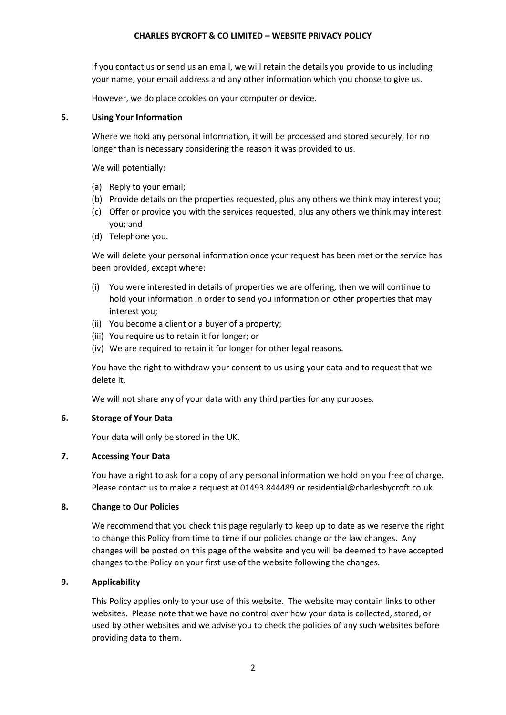### **CHARLES BYCROFT & CO LIMITED – WEBSITE PRIVACY POLICY**

If you contact us or send us an email, we will retain the details you provide to us including your name, your email address and any other information which you choose to give us.

However, we do place cookies on your computer or device.

### **5. Using Your Information**

Where we hold any personal information, it will be processed and stored securely, for no longer than is necessary considering the reason it was provided to us.

We will potentially:

- (a) Reply to your email;
- (b) Provide details on the properties requested, plus any others we think may interest you;
- (c) Offer or provide you with the services requested, plus any others we think may interest you; and
- (d) Telephone you.

We will delete your personal information once your request has been met or the service has been provided, except where:

- (i) You were interested in details of properties we are offering, then we will continue to hold your information in order to send you information on other properties that may interest you;
- (ii) You become a client or a buyer of a property;
- (iii) You require us to retain it for longer; or
- (iv) We are required to retain it for longer for other legal reasons.

You have the right to withdraw your consent to us using your data and to request that we delete it.

We will not share any of your data with any third parties for any purposes.

## **6. Storage of Your Data**

Your data will only be stored in the UK.

### **7. Accessing Your Data**

You have a right to ask for a copy of any personal information we hold on you free of charge. Please contact us to make a request at 01493 844489 or residential@charlesbycroft.co.uk.

### **8. Change to Our Policies**

We recommend that you check this page regularly to keep up to date as we reserve the right to change this Policy from time to time if our policies change or the law changes. Any changes will be posted on this page of the website and you will be deemed to have accepted changes to the Policy on your first use of the website following the changes.

### **9. Applicability**

This Policy applies only to your use of this website. The website may contain links to other websites. Please note that we have no control over how your data is collected, stored, or used by other websites and we advise you to check the policies of any such websites before providing data to them.